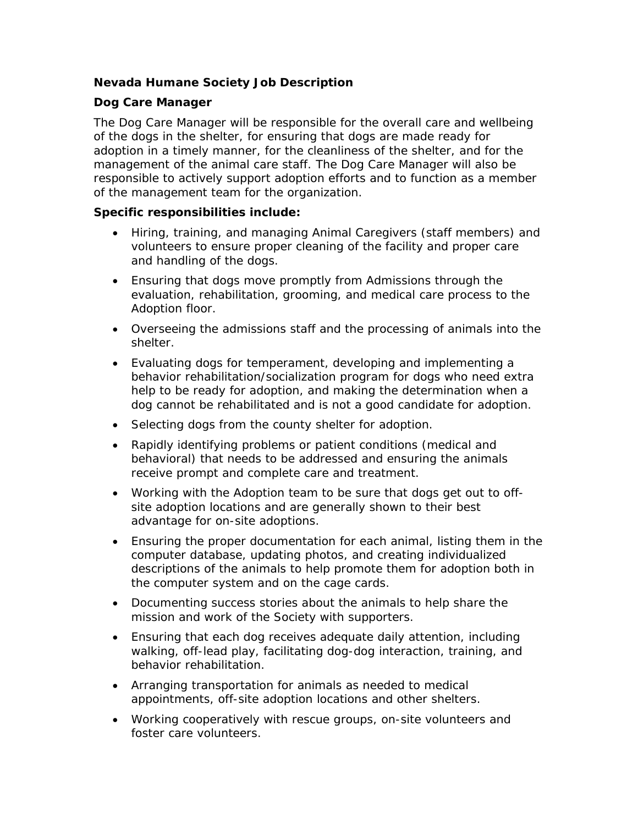# **Nevada Humane Society Job Description**

# **Dog Care Manager**

The Dog Care Manager will be responsible for the overall care and wellbeing of the dogs in the shelter, for ensuring that dogs are made ready for adoption in a timely manner, for the cleanliness of the shelter, and for the management of the animal care staff. The Dog Care Manager will also be responsible to actively support adoption efforts and to function as a member of the management team for the organization.

# **Specific responsibilities include:**

- Hiring, training, and managing Animal Caregivers (staff members) and volunteers to ensure proper cleaning of the facility and proper care and handling of the dogs.
- Ensuring that dogs move promptly from Admissions through the evaluation, rehabilitation, grooming, and medical care process to the Adoption floor.
- Overseeing the admissions staff and the processing of animals into the shelter.
- Evaluating dogs for temperament, developing and implementing a behavior rehabilitation/socialization program for dogs who need extra help to be ready for adoption, and making the determination when a dog cannot be rehabilitated and is not a good candidate for adoption.
- Selecting dogs from the county shelter for adoption.
- Rapidly identifying problems or patient conditions (medical and behavioral) that needs to be addressed and ensuring the animals receive prompt and complete care and treatment.
- Working with the Adoption team to be sure that dogs get out to offsite adoption locations and are generally shown to their best advantage for on-site adoptions.
- Ensuring the proper documentation for each animal, listing them in the computer database, updating photos, and creating individualized descriptions of the animals to help promote them for adoption both in the computer system and on the cage cards.
- Documenting success stories about the animals to help share the mission and work of the Society with supporters.
- Ensuring that each dog receives adequate daily attention, including walking, off-lead play, facilitating dog-dog interaction, training, and behavior rehabilitation.
- Arranging transportation for animals as needed to medical appointments, off-site adoption locations and other shelters.
- Working cooperatively with rescue groups, on-site volunteers and foster care volunteers.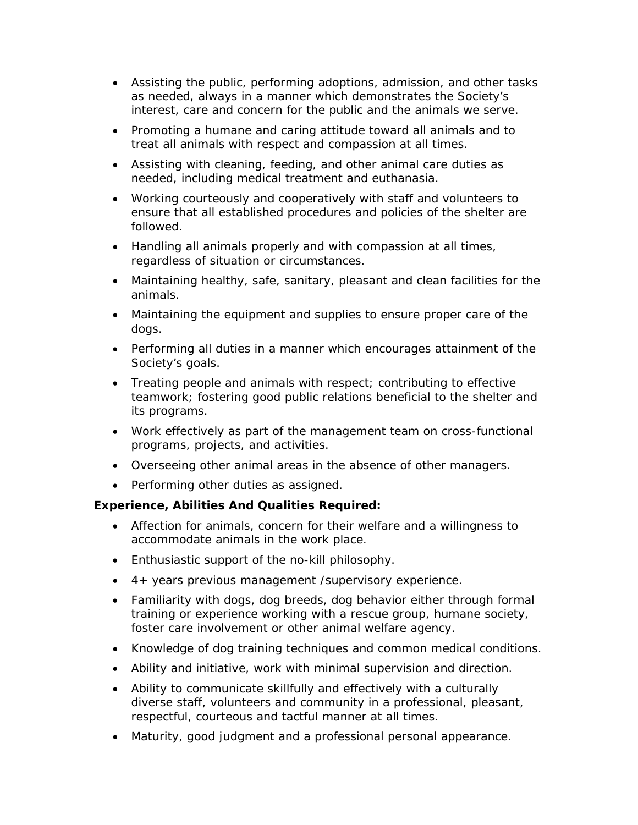- Assisting the public, performing adoptions, admission, and other tasks as needed, always in a manner which demonstrates the Society's interest, care and concern for the public and the animals we serve.
- Promoting a humane and caring attitude toward all animals and to treat all animals with respect and compassion at all times.
- Assisting with cleaning, feeding, and other animal care duties as needed, including medical treatment and euthanasia.
- Working courteously and cooperatively with staff and volunteers to ensure that all established procedures and policies of the shelter are followed.
- Handling all animals properly and with compassion at all times, regardless of situation or circumstances.
- Maintaining healthy, safe, sanitary, pleasant and clean facilities for the animals.
- Maintaining the equipment and supplies to ensure proper care of the dogs.
- Performing all duties in a manner which encourages attainment of the Society's goals.
- Treating people and animals with respect; contributing to effective teamwork; fostering good public relations beneficial to the shelter and its programs.
- Work effectively as part of the management team on cross-functional programs, projects, and activities.
- Overseeing other animal areas in the absence of other managers.
- Performing other duties as assigned.

# **Experience, Abilities And Qualities Required:**

- Affection for animals, concern for their welfare and a willingness to accommodate animals in the work place.
- Enthusiastic support of the no-kill philosophy.
- 4+ years previous management /supervisory experience.
- Familiarity with dogs, dog breeds, dog behavior either through formal training or experience working with a rescue group, humane society, foster care involvement or other animal welfare agency.
- Knowledge of dog training techniques and common medical conditions.
- Ability and initiative, work with minimal supervision and direction.
- Ability to communicate skillfully and effectively with a culturally diverse staff, volunteers and community in a professional, pleasant, respectful, courteous and tactful manner at all times.
- Maturity, good judgment and a professional personal appearance.